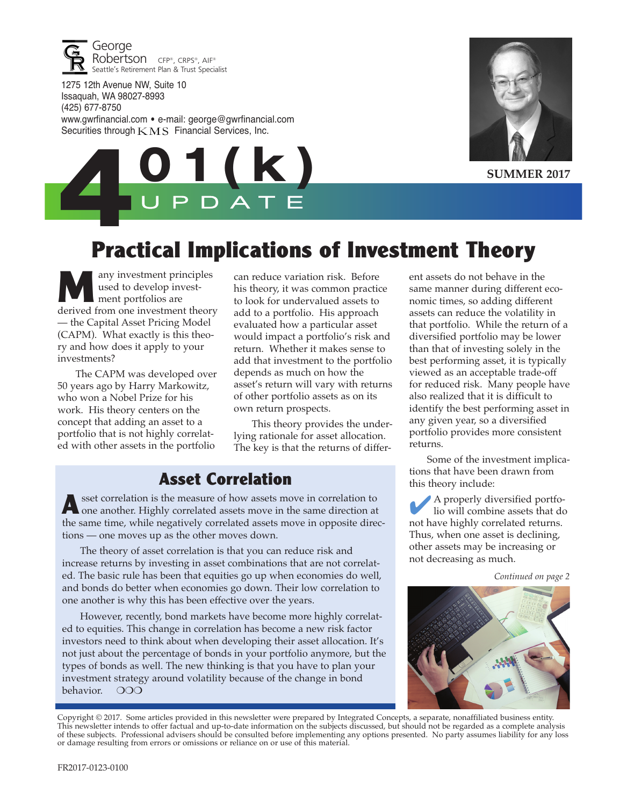

1275 12th Avenue NW, Suite 10 Issaquah, WA 98027-8993 (425) 677-8750 www.gwrfinancial.com • e-mail: george@gwrfinancial.com Securities through  $KMS$  Financial Services, Inc.



**SUMMER 2017**



## **Practical Implications of Investment Theory**

any investment principles used to develop investment portfolios are derived from one investment theory — the Capital Asset Pricing Model (CAPM). What exactly is this theory and how does it apply to your investments?

The CAPM was developed over 50 years ago by Harry Markowitz, who won a Nobel Prize for his work. His theory centers on the concept that adding an asset to a portfolio that is not highly correlated with other assets in the portfolio

can reduce variation risk. Before his theory, it was common practice to look for undervalued assets to add to a portfolio. His approach evaluated how a particular asset would impact a portfolio's risk and return. Whether it makes sense to add that investment to the portfolio depends as much on how the asset's return will vary with returns of other portfolio assets as on its own return prospects.

This theory provides the underlying rationale for asset allocation. The key is that the returns of differ-

#### **Asset Correlation**

**A** sset correlation is the measure of how assets move in correlation to one another. Highly correlated assets move in the same direction at the same time, while negatively correlated assets move in opposite directions — one moves up as the other moves down.

The theory of asset correlation is that you can reduce risk and increase returns by investing in asset combinations that are not correlated. The basic rule has been that equities go up when economies do well, and bonds do better when economies go down. Their low correlation to one another is why this has been effective over the years.

However, recently, bond markets have become more highly correlated to equities. This change in correlation has become a new risk factor investors need to think about when developing their asset allocation. It's not just about the percentage of bonds in your portfolio anymore, but the types of bonds as well. The new thinking is that you have to plan your investment strategy around volatility because of the change in bond behavior. OOO

ent assets do not behave in the same manner during different economic times, so adding different assets can reduce the volatility in that portfolio. While the return of a diversified portfolio may be lower than that of investing solely in the best performing asset, it is typically viewed as an acceptable trade-off for reduced risk. Many people have also realized that it is difficult to identify the best performing asset in any given year, so a diversified portfolio provides more consistent returns.

Some of the investment implications that have been drawn from this theory include:

4A properly diversified portfo-lio will combine assets that do not have highly correlated returns. Thus, when one asset is declining, other assets may be increasing or not decreasing as much.

*Continued on page 2*



Copyright © 2017. Some articles provided in this newsletter were prepared by Integrated Concepts, a separate, nonaffiliated business entity. This newsletter intends to offer factual and up-to-date information on the subjects discussed, but should not be regarded as a complete analysis of these subjects. Professional advisers should be consulted before implementing any options presented. No party assumes liability for any loss or damage resulting from errors or omissions or reliance on or use of this material.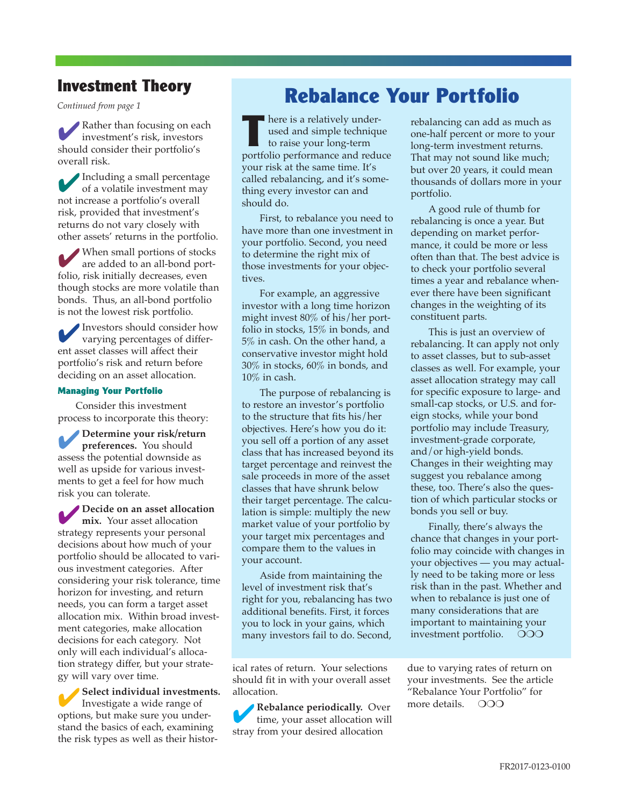#### **Investment Theory**

**Rather than focusing on each** investment's risk, investors should consider their portfolio's overall risk.

4Including a small percentage of a volatile investment may not increase a portfolio's overall risk, provided that investment's returns do not vary closely with other assets' returns in the portfolio.

When small portions of stocks<br>are added to an all-bond portfolio, risk initially decreases, even though stocks are more volatile than bonds. Thus, an all-bond portfolio is not the lowest risk portfolio.

4Investors should consider how varying percentages of different asset classes will affect their portfolio's risk and return before deciding on an asset allocation.

#### **Managing Your Portfolio**

Consider this investment process to incorporate this theory:

4**Determine your risk/return preferences.** You should assess the potential downside as well as upside for various investments to get a feel for how much risk you can tolerate.

4**Decide on an asset allocation mix.** Your asset allocation strategy represents your personal decisions about how much of your portfolio should be allocated to various investment categories. After considering your risk tolerance, time horizon for investing, and return needs, you can form a target asset allocation mix. Within broad investment categories, make allocation decisions for each category. Not only will each individual's allocation strategy differ, but your strategy will vary over time.

4**Select individual investments.** Investigate a wide range of options, but make sure you understand the basics of each, examining the risk types as well as their histor-

# *Continued from page 1* **Rebalance Your Portfolio**

**T** here is a relatively underused and simple technique to raise your long-term portfolio performance and reduce your risk at the same time. It's called rebalancing, and it's something every investor can and should do.

First, to rebalance you need to have more than one investment in your portfolio. Second, you need to determine the right mix of those investments for your objectives.

For example, an aggressive investor with a long time horizon might invest 80% of his/her portfolio in stocks, 15% in bonds, and 5% in cash. On the other hand, a conservative investor might hold 30% in stocks, 60% in bonds, and 10% in cash.

The purpose of rebalancing is to restore an investor's portfolio to the structure that fits his/her objectives. Here's how you do it: you sell off a portion of any asset class that has increased beyond its target percentage and reinvest the sale proceeds in more of the asset classes that have shrunk below their target percentage. The calculation is simple: multiply the new market value of your portfolio by your target mix percentages and compare them to the values in your account.

Aside from maintaining the level of investment risk that's right for you, rebalancing has two additional benefits. First, it forces you to lock in your gains, which many investors fail to do. Second,

ical rates of return. Your selections should fit in with your overall asset allocation.

4**Rebalance periodically.** Over time, your asset allocation will stray from your desired allocation

rebalancing can add as much as one-half percent or more to your long-term investment returns. That may not sound like much; but over 20 years, it could mean thousands of dollars more in your portfolio.

A good rule of thumb for rebalancing is once a year. But depending on market performance, it could be more or less often than that. The best advice is to check your portfolio several times a year and rebalance whenever there have been significant changes in the weighting of its constituent parts.

This is just an overview of rebalancing. It can apply not only to asset classes, but to sub-asset classes as well. For example, your asset allocation strategy may call for specific exposure to large- and small-cap stocks, or U.S. and foreign stocks, while your bond portfolio may include Treasury, investment-grade corporate, and/or high-yield bonds. Changes in their weighting may suggest you rebalance among these, too. There's also the question of which particular stocks or bonds you sell or buy.

Finally, there's always the chance that changes in your portfolio may coincide with changes in your objectives — you may actually need to be taking more or less risk than in the past. Whether and when to rebalance is just one of many considerations that are important to maintaining your investment portfolio. OOO

due to varying rates of return on your investments. See the article "Rebalance Your Portfolio" for more details. OOO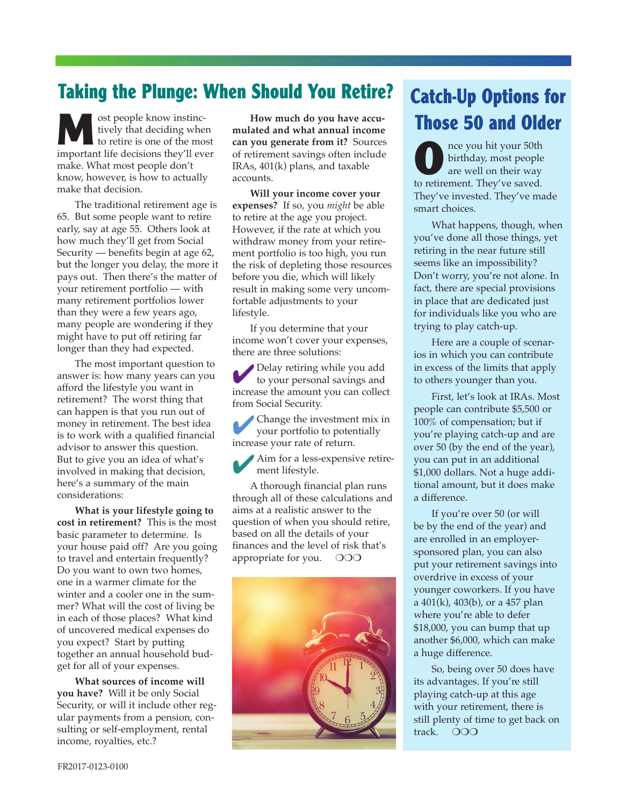#### **Taking the Plunge: When Should You Retire?**

**Most people know instinctively that deciding when to retire is one of the most** tively that deciding when important life decisions they'll ever make. What most people don't know, however, is how to actually make that decision.

The traditional retirement age is 65. But some people want to retire early, say at age 55. Others look at how much they'll get from Social Security — benefits begin at age 62, but the longer you delay, the more it pays out. Then there's the matter of your retirement portfolio — with many retirement portfolios lower than they were a few years ago, many people are wondering if they might have to put off retiring far longer than they had expected.

The most important question to answer is: how many years can you afford the lifestyle you want in retirement? The worst thing that can happen is that you run out of money in retirement. The best idea is to work with a qualified financial advisor to answer this question. But to give you an idea of what's involved in making that decision, here's a summary of the main considerations:

**What is your lifestyle going to cost in retirement?** This is the most basic parameter to determine. Is your house paid off? Are you going to travel and entertain frequently? Do you want to own two homes, one in a warmer climate for the winter and a cooler one in the summer? What will the cost of living be in each of those places? What kind of uncovered medical expenses do you expect? Start by putting together an annual household budget for all of your expenses.

**What sources of income will you have?** Will it be only Social Security, or will it include other regular payments from a pension, consulting or self-employment, rental income, royalties, etc.?

**How much do you have accumulated and what annual income can you generate from it?** Sources of retirement savings often include IRAs, 401(k) plans, and taxable accounts.

**Will your income cover your expenses?** If so, you *might* be able to retire at the age you project. However, if the rate at which you withdraw money from your retirement portfolio is too high, you run the risk of depleting those resources before you die, which will likely result in making some very uncomfortable adjustments to your lifestyle.

If you determine that your income won't cover your expenses, there are three solutions:

4Delay retiring while you add to your personal savings and increase the amount you can collect from Social Security.

4Change the investment mix in your portfolio to potentially increase your rate of return.

Aim for a less-expensive retirement lifestyle.

A thorough financial plan runs through all of these calculations and aims at a realistic answer to the question of when you should retire, based on all the details of your finances and the level of risk that's appropriate for you.  $\circ$  OOO



# **Catch-Up Options for Those 50 and Older**

**O**nce you hit your 50th birthday, most people are well on their way to retirement. They've saved. They've invested. They've made smart choices.

What happens, though, when you've done all those things, yet retiring in the near future still seems like an impossibility? Don't worry, you're not alone. In fact, there are special provisions in place that are dedicated just for individuals like you who are trying to play catch-up.

Here are a couple of scenarios in which you can contribute in excess of the limits that apply to others younger than you.

First, let's look at IRAs. Most people can contribute \$5,500 or 100% of compensation; but if you're playing catch-up and are over 50 (by the end of the year), you can put in an additional \$1,000 dollars. Not a huge additional amount, but it does make a difference.

If you're over 50 (or will be by the end of the year) and are enrolled in an employersponsored plan, you can also put your retirement savings into overdrive in excess of your younger coworkers. If you have a 401(k), 403(b), or a 457 plan where you're able to defer \$18,000, you can bump that up another \$6,000, which can make a huge difference.

So, being over 50 does have its advantages. If you're still playing catch-up at this age with your retirement, there is still plenty of time to get back on track. OOO